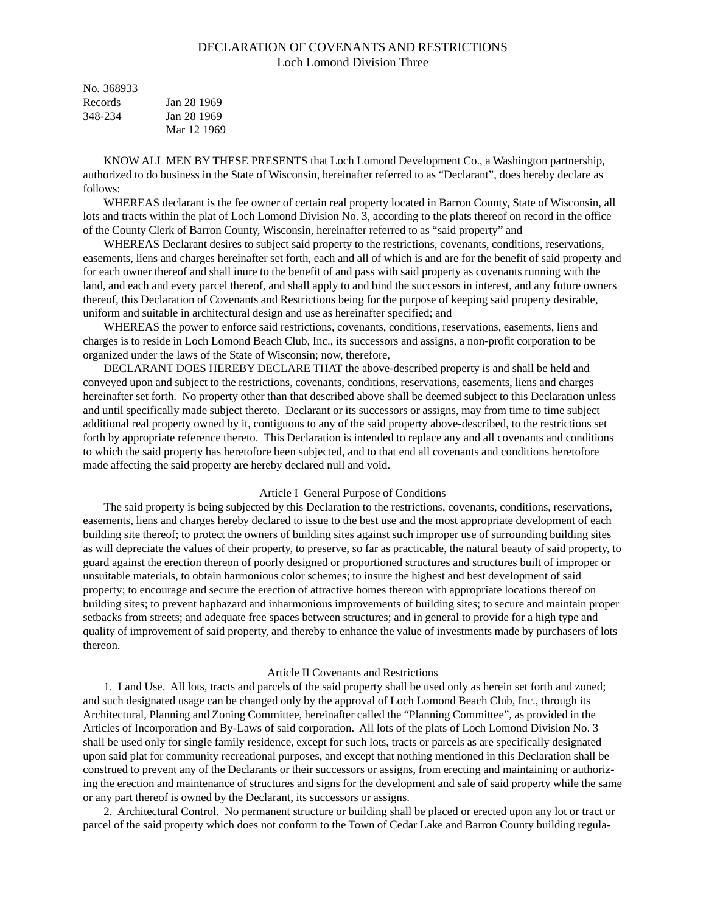# DECLARATION OF COVENANTS AND RESTRICTIONS Loch Lomond Division Three

| No. 368933 |             |
|------------|-------------|
| Records    | Jan 28 1969 |
| 348-234    | Jan 28 1969 |
|            | Mar 12 1969 |

KNOW ALL MEN BY THESE PRESENTS that Loch Lomond Development Co., a Washington partnership, authorized to do business in the State of Wisconsin, hereinafter referred to as "Declarant", does hereby declare as follows:

WHEREAS declarant is the fee owner of certain real property located in Barron County, State of Wisconsin, all lots and tracts within the plat of Loch Lomond Division No. 3, according to the plats thereof on record in the office of the County Clerk of Barron County, Wisconsin, hereinafter referred to as "said property" and

WHEREAS Declarant desires to subject said property to the restrictions, covenants, conditions, reservations, easements, liens and charges hereinafter set forth, each and all of which is and are for the benefit of said property and for each owner thereof and shall inure to the benefit of and pass with said property as covenants running with the land, and each and every parcel thereof, and shall apply to and bind the successors in interest, and any future owners thereof, this Declaration of Covenants and Restrictions being for the purpose of keeping said property desirable, uniform and suitable in architectural design and use as hereinafter specified; and

WHEREAS the power to enforce said restrictions, covenants, conditions, reservations, easements, liens and charges is to reside in Loch Lomond Beach Club, Inc., its successors and assigns, a non-profit corporation to be organized under the laws of the State of Wisconsin; now, therefore,

DECLARANT DOES HEREBY DECLARE THAT the above-described property is and shall be held and conveyed upon and subject to the restrictions, covenants, conditions, reservations, easements, liens and charges hereinafter set forth. No property other than that described above shall be deemed subject to this Declaration unless and until specifically made subject thereto. Declarant or its successors or assigns, may from time to time subject additional real property owned by it, contiguous to any of the said property above-described, to the restrictions set forth by appropriate reference thereto. This Declaration is intended to replace any and all covenants and conditions to which the said property has heretofore been subjected, and to that end all covenants and conditions heretofore made affecting the said property are hereby declared null and void.

## Article I General Purpose of Conditions

The said property is being subjected by this Declaration to the restrictions, covenants, conditions, reservations, easements, liens and charges hereby declared to issue to the best use and the most appropriate development of each building site thereof; to protect the owners of building sites against such improper use of surrounding building sites as will depreciate the values of their property, to preserve, so far as practicable, the natural beauty of said property, to guard against the erection thereon of poorly designed or proportioned structures and structures built of improper or unsuitable materials, to obtain harmonious color schemes; to insure the highest and best development of said property; to encourage and secure the erection of attractive homes thereon with appropriate locations thereof on building sites; to prevent haphazard and inharmonious improvements of building sites; to secure and maintain proper setbacks from streets; and adequate free spaces between structures; and in general to provide for a high type and quality of improvement of said property, and thereby to enhance the value of investments made by purchasers of lots thereon.

### Article II Covenants and Restrictions

1. Land Use. All lots, tracts and parcels of the said property shall be used only as herein set forth and zoned; and such designated usage can be changed only by the approval of Loch Lomond Beach Club, Inc., through its Architectural, Planning and Zoning Committee, hereinafter called the "Planning Committee", as provided in the Articles of Incorporation and By-Laws of said corporation. All lots of the plats of Loch Lomond Division No. 3 shall be used only for single family residence, except for such lots, tracts or parcels as are specifically designated upon said plat for community recreational purposes, and except that nothing mentioned in this Declaration shall be construed to prevent any of the Declarants or their successors or assigns, from erecting and maintaining or authorizing the erection and maintenance of structures and signs for the development and sale of said property while the same or any part thereof is owned by the Declarant, its successors or assigns.

2. Architectural Control. No permanent structure or building shall be placed or erected upon any lot or tract or parcel of the said property which does not conform to the Town of Cedar Lake and Barron County building regula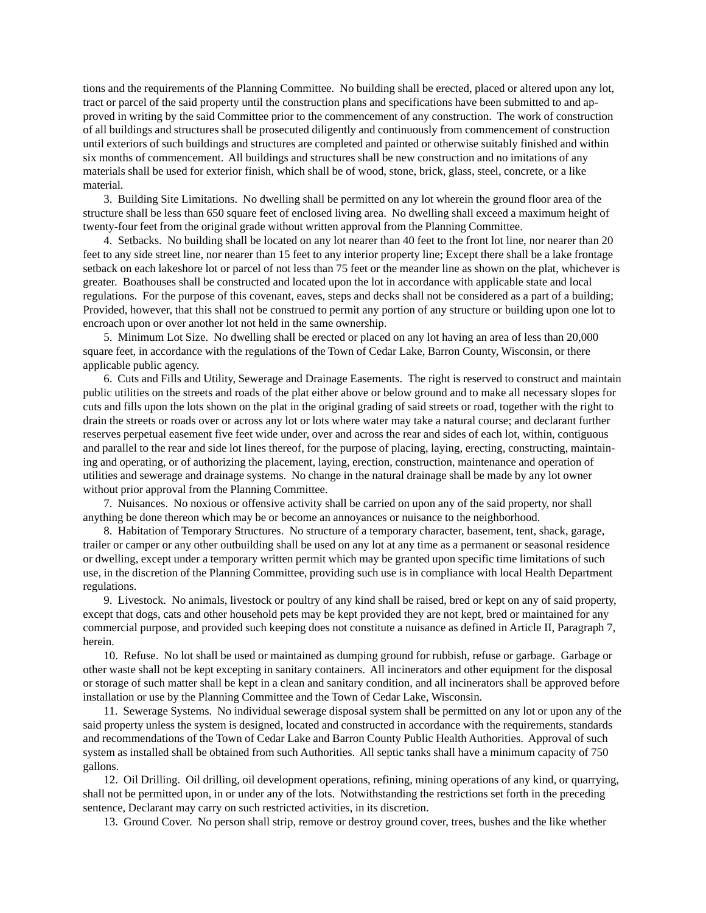tions and the requirements of the Planning Committee. No building shall be erected, placed or altered upon any lot, tract or parcel of the said property until the construction plans and specifications have been submitted to and approved in writing by the said Committee prior to the commencement of any construction. The work of construction of all buildings and structures shall be prosecuted diligently and continuously from commencement of construction until exteriors of such buildings and structures are completed and painted or otherwise suitably finished and within six months of commencement. All buildings and structures shall be new construction and no imitations of any materials shall be used for exterior finish, which shall be of wood, stone, brick, glass, steel, concrete, or a like material.

3. Building Site Limitations. No dwelling shall be permitted on any lot wherein the ground floor area of the structure shall be less than 650 square feet of enclosed living area. No dwelling shall exceed a maximum height of twenty-four feet from the original grade without written approval from the Planning Committee.

4. Setbacks. No building shall be located on any lot nearer than 40 feet to the front lot line, nor nearer than 20 feet to any side street line, nor nearer than 15 feet to any interior property line; Except there shall be a lake frontage setback on each lakeshore lot or parcel of not less than 75 feet or the meander line as shown on the plat, whichever is greater. Boathouses shall be constructed and located upon the lot in accordance with applicable state and local regulations. For the purpose of this covenant, eaves, steps and decks shall not be considered as a part of a building; Provided, however, that this shall not be construed to permit any portion of any structure or building upon one lot to encroach upon or over another lot not held in the same ownership.

5. Minimum Lot Size. No dwelling shall be erected or placed on any lot having an area of less than 20,000 square feet, in accordance with the regulations of the Town of Cedar Lake, Barron County, Wisconsin, or there applicable public agency.

6. Cuts and Fills and Utility, Sewerage and Drainage Easements. The right is reserved to construct and maintain public utilities on the streets and roads of the plat either above or below ground and to make all necessary slopes for cuts and fills upon the lots shown on the plat in the original grading of said streets or road, together with the right to drain the streets or roads over or across any lot or lots where water may take a natural course; and declarant further reserves perpetual easement five feet wide under, over and across the rear and sides of each lot, within, contiguous and parallel to the rear and side lot lines thereof, for the purpose of placing, laying, erecting, constructing, maintaining and operating, or of authorizing the placement, laying, erection, construction, maintenance and operation of utilities and sewerage and drainage systems. No change in the natural drainage shall be made by any lot owner without prior approval from the Planning Committee.

7. Nuisances. No noxious or offensive activity shall be carried on upon any of the said property, nor shall anything be done thereon which may be or become an annoyances or nuisance to the neighborhood.

8. Habitation of Temporary Structures. No structure of a temporary character, basement, tent, shack, garage, trailer or camper or any other outbuilding shall be used on any lot at any time as a permanent or seasonal residence or dwelling, except under a temporary written permit which may be granted upon specific time limitations of such use, in the discretion of the Planning Committee, providing such use is in compliance with local Health Department regulations.

9. Livestock. No animals, livestock or poultry of any kind shall be raised, bred or kept on any of said property, except that dogs, cats and other household pets may be kept provided they are not kept, bred or maintained for any commercial purpose, and provided such keeping does not constitute a nuisance as defined in Article II, Paragraph 7, herein.

10. Refuse. No lot shall be used or maintained as dumping ground for rubbish, refuse or garbage. Garbage or other waste shall not be kept excepting in sanitary containers. All incinerators and other equipment for the disposal or storage of such matter shall be kept in a clean and sanitary condition, and all incinerators shall be approved before installation or use by the Planning Committee and the Town of Cedar Lake, Wisconsin.

11. Sewerage Systems. No individual sewerage disposal system shall be permitted on any lot or upon any of the said property unless the system is designed, located and constructed in accordance with the requirements, standards and recommendations of the Town of Cedar Lake and Barron County Public Health Authorities. Approval of such system as installed shall be obtained from such Authorities. All septic tanks shall have a minimum capacity of 750 gallons.

12. Oil Drilling. Oil drilling, oil development operations, refining, mining operations of any kind, or quarrying, shall not be permitted upon, in or under any of the lots. Notwithstanding the restrictions set forth in the preceding sentence, Declarant may carry on such restricted activities, in its discretion.

13. Ground Cover. No person shall strip, remove or destroy ground cover, trees, bushes and the like whether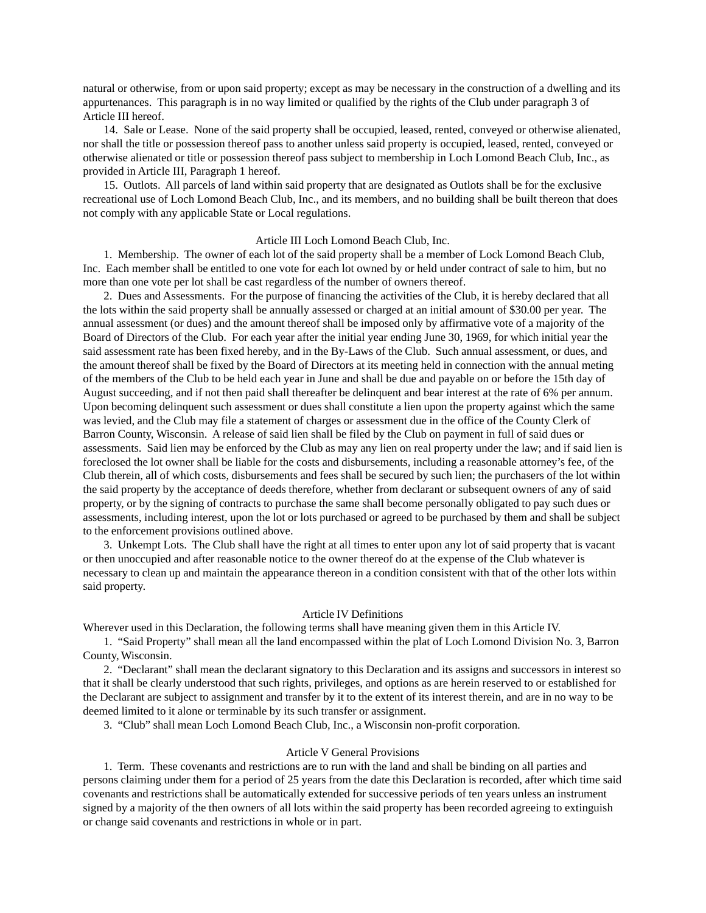natural or otherwise, from or upon said property; except as may be necessary in the construction of a dwelling and its appurtenances. This paragraph is in no way limited or qualified by the rights of the Club under paragraph 3 of Article III hereof.

14. Sale or Lease. None of the said property shall be occupied, leased, rented, conveyed or otherwise alienated, nor shall the title or possession thereof pass to another unless said property is occupied, leased, rented, conveyed or otherwise alienated or title or possession thereof pass subject to membership in Loch Lomond Beach Club, Inc., as provided in Article III, Paragraph 1 hereof.

15. Outlots. All parcels of land within said property that are designated as Outlots shall be for the exclusive recreational use of Loch Lomond Beach Club, Inc., and its members, and no building shall be built thereon that does not comply with any applicable State or Local regulations.

## Article III Loch Lomond Beach Club, Inc.

1. Membership. The owner of each lot of the said property shall be a member of Lock Lomond Beach Club, Inc. Each member shall be entitled to one vote for each lot owned by or held under contract of sale to him, but no more than one vote per lot shall be cast regardless of the number of owners thereof.

2. Dues and Assessments. For the purpose of financing the activities of the Club, it is hereby declared that all the lots within the said property shall be annually assessed or charged at an initial amount of \$30.00 per year. The annual assessment (or dues) and the amount thereof shall be imposed only by affirmative vote of a majority of the Board of Directors of the Club. For each year after the initial year ending June 30, 1969, for which initial year the said assessment rate has been fixed hereby, and in the By-Laws of the Club. Such annual assessment, or dues, and the amount thereof shall be fixed by the Board of Directors at its meeting held in connection with the annual meting of the members of the Club to be held each year in June and shall be due and payable on or before the 15th day of August succeeding, and if not then paid shall thereafter be delinquent and bear interest at the rate of 6% per annum. Upon becoming delinquent such assessment or dues shall constitute a lien upon the property against which the same was levied, and the Club may file a statement of charges or assessment due in the office of the County Clerk of Barron County, Wisconsin. A release of said lien shall be filed by the Club on payment in full of said dues or assessments. Said lien may be enforced by the Club as may any lien on real property under the law; and if said lien is foreclosed the lot owner shall be liable for the costs and disbursements, including a reasonable attorney's fee, of the Club therein, all of which costs, disbursements and fees shall be secured by such lien; the purchasers of the lot within the said property by the acceptance of deeds therefore, whether from declarant or subsequent owners of any of said property, or by the signing of contracts to purchase the same shall become personally obligated to pay such dues or assessments, including interest, upon the lot or lots purchased or agreed to be purchased by them and shall be subject to the enforcement provisions outlined above.

3. Unkempt Lots. The Club shall have the right at all times to enter upon any lot of said property that is vacant or then unoccupied and after reasonable notice to the owner thereof do at the expense of the Club whatever is necessary to clean up and maintain the appearance thereon in a condition consistent with that of the other lots within said property.

#### Article IV Definitions

Wherever used in this Declaration, the following terms shall have meaning given them in this Article IV.

1. "Said Property" shall mean all the land encompassed within the plat of Loch Lomond Division No. 3, Barron County, Wisconsin.

2. "Declarant" shall mean the declarant signatory to this Declaration and its assigns and successors in interest so that it shall be clearly understood that such rights, privileges, and options as are herein reserved to or established for the Declarant are subject to assignment and transfer by it to the extent of its interest therein, and are in no way to be deemed limited to it alone or terminable by its such transfer or assignment.

3. "Club" shall mean Loch Lomond Beach Club, Inc., a Wisconsin non-profit corporation.

#### Article V General Provisions

1. Term. These covenants and restrictions are to run with the land and shall be binding on all parties and persons claiming under them for a period of 25 years from the date this Declaration is recorded, after which time said covenants and restrictions shall be automatically extended for successive periods of ten years unless an instrument signed by a majority of the then owners of all lots within the said property has been recorded agreeing to extinguish or change said covenants and restrictions in whole or in part.